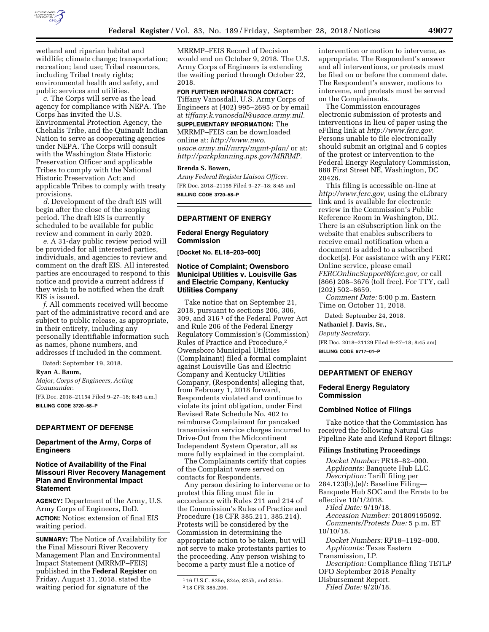

wetland and riparian habitat and wildlife; climate change; transportation; recreation; land use; Tribal resources, including Tribal treaty rights; environmental health and safety, and public services and utilities.

*c.* The Corps will serve as the lead agency for compliance with NEPA. The Corps has invited the U.S. Environmental Protection Agency, the Chehalis Tribe, and the Quinault Indian Nation to serve as cooperating agencies under NEPA. The Corps will consult with the Washington State Historic Preservation Officer and applicable Tribes to comply with the National Historic Preservation Act; and applicable Tribes to comply with treaty provisions.

*d.* Development of the draft EIS will begin after the close of the scoping period. The draft EIS is currently scheduled to be available for public review and comment in early 2020.

*e.* A 31-day public review period will be provided for all interested parties, individuals, and agencies to review and comment on the draft EIS. All interested parties are encouraged to respond to this notice and provide a current address if they wish to be notified when the draft EIS is issued.

*f.* All comments received will become part of the administrative record and are subject to public release, as appropriate, in their entirety, including any personally identifiable information such as names, phone numbers, and addresses if included in the comment.

Dated: September 19, 2018.

# **Ryan A. Baum,**

*Major, Corps of Engineers, Acting Commander.* 

[FR Doc. 2018–21154 Filed 9–27–18; 8:45 a.m.] **BILLING CODE 3720–58–P** 

## **DEPARTMENT OF DEFENSE**

## **Department of the Army, Corps of Engineers**

## **Notice of Availability of the Final Missouri River Recovery Management Plan and Environmental Impact Statement**

**AGENCY:** Department of the Army, U.S. Army Corps of Engineers, DoD. **ACTION:** Notice; extension of final EIS waiting period.

**SUMMARY:** The Notice of Availability for the Final Missouri River Recovery Management Plan and Environmental Impact Statement (MRRMP–FEIS) published in the **Federal Register** on Friday, August 31, 2018, stated the waiting period for signature of the

MRRMP–FEIS Record of Decision would end on October 9, 2018. The U.S. Army Corps of Engineers is extending the waiting period through October 22, 2018.

**FOR FURTHER INFORMATION CONTACT:**  Tiffany Vanosdall, U.S. Army Corps of Engineers at (402) 995–2695 or by email at *[tiffany.k.vanosdall@usace.army.mil.](mailto:tiffany.k.vanosdall@usace.army.mil)* 

**SUPPLEMENTARY INFORMATION:** The MRRMP–FEIS can be downloaded online at: *[http://www.nwo.](http://www.nwo.usace.army.mil/mrrp/mgmt-plan/) [usace.army.mil/mrrp/mgmt-plan/](http://www.nwo.usace.army.mil/mrrp/mgmt-plan/)* or at: *[http://parkplanning.nps.gov/MRRMP.](http://parkplanning.nps.gov/MRRMP)* 

### **Brenda S. Bowen,**

*Army Federal Register Liaison Officer.*  [FR Doc. 2018–21155 Filed 9–27–18; 8:45 am] **BILLING CODE 3720–58–P** 

## **DEPARTMENT OF ENERGY**

#### **Federal Energy Regulatory Commission**

**[Docket No. EL18–203–000]** 

## **Notice of Complaint; Owensboro Municipal Utilities v. Louisville Gas and Electric Company, Kentucky Utilities Company**

Take notice that on September 21, 2018, pursuant to sections 206, 306, 309, and 316 1 of the Federal Power Act and Rule 206 of the Federal Energy Regulatory Commission's (Commission) Rules of Practice and Procedure,2 Owensboro Municipal Utilities (Complainant) filed a formal complaint against Louisville Gas and Electric Company and Kentucky Utilities Company, (Respondents) alleging that, from February 1, 2018 forward, Respondents violated and continue to violate its joint obligation, under First Revised Rate Schedule No. 402 to reimburse Complainant for pancaked transmission service charges incurred to Drive-Out from the Midcontinent Independent System Operator, all as more fully explained in the complaint.

The Complainants certify that copies of the Complaint were served on contacts for Respondents.

Any person desiring to intervene or to protest this filing must file in accordance with Rules 211 and 214 of the Commission's Rules of Practice and Procedure (18 CFR 385.211, 385.214). Protests will be considered by the Commission in determining the appropriate action to be taken, but will not serve to make protestants parties to the proceeding. Any person wishing to become a party must file a notice of

intervention or motion to intervene, as appropriate. The Respondent's answer and all interventions, or protests must be filed on or before the comment date. The Respondent's answer, motions to intervene, and protests must be served on the Complainants.

The Commission encourages electronic submission of protests and interventions in lieu of paper using the eFiling link at *[http://www.ferc.gov.](http://www.ferc.gov)*  Persons unable to file electronically should submit an original and 5 copies of the protest or intervention to the Federal Energy Regulatory Commission, 888 First Street NE, Washington, DC 20426.

This filing is accessible on-line at *[http://www.ferc.gov,](http://www.ferc.gov)* using the eLibrary link and is available for electronic review in the Commission's Public Reference Room in Washington, DC. There is an eSubscription link on the website that enables subscribers to receive email notification when a document is added to a subscribed docket(s). For assistance with any FERC Online service, please email *[FERCOnlineSupport@ferc.gov,](mailto:FERCOnlineSupport@ferc.gov)* or call (866) 208–3676 (toll free). For TTY, call (202) 502–8659.

*Comment Date:* 5:00 p.m. Eastern Time on October 11, 2018.

Dated: September 24, 2018.

# **Nathaniel J. Davis, Sr.,**

*Deputy Secretary.*  [FR Doc. 2018–21129 Filed 9–27–18; 8:45 am] **BILLING CODE 6717–01–P** 

## **DEPARTMENT OF ENERGY**

## **Federal Energy Regulatory Commission**

### **Combined Notice of Filings**

Take notice that the Commission has received the following Natural Gas Pipeline Rate and Refund Report filings:

**Filings Instituting Proceedings**  *Docket Number:* PR18–82–000. *Applicants:* Banquete Hub LLC. *Description:* Tariff filing per 284.123(b),(e)/: Baseline Filing— Banquete Hub SOC and the Errata to be effective 10/1/2018. *Filed Date:* 9/19/18. *Accession Number:* 201809195092. *Comments/Protests Due:* 5 p.m. ET

10/10/18.

*Docket Numbers:* RP18–1192–000. *Applicants:* Texas Eastern

Transmission, LP.

*Description:* Compliance filing TETLP

OFO September 2018 Penalty

Disbursement Report. *Filed Date:* 9/20/18.

<sup>1</sup> 16 U.S.C. 825e, 824e, 825h, and 825o. 2 18 CFR 385.206.